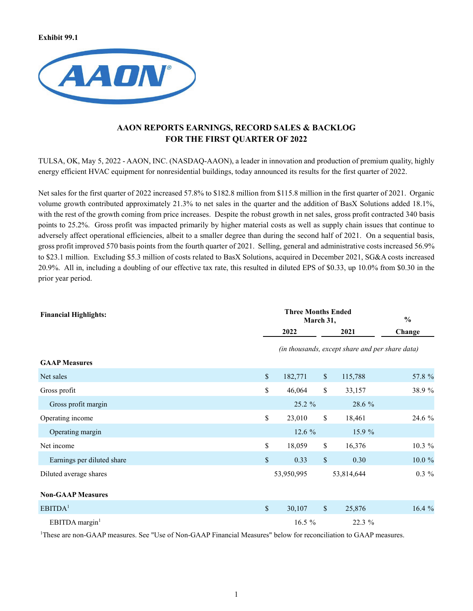**Exhibit 99.1**



# **AAON REPORTS EARNINGS, RECORD SALES & BACKLOG FOR THE FIRST QUARTER OF 2022**

TULSA, OK, May 5, 2022 - AAON, INC. (NASDAQ-AAON), a leader in innovation and production of premium quality, highly energy efficient HVAC equipment for nonresidential buildings, today announced its results for the first quarter of 2022.

Net sales for the first quarter of 2022 increased 57.8% to \$182.8 million from \$115.8 million in the first quarter of 2021. Organic volume growth contributed approximately 21.3% to net sales in the quarter and the addition of BasX Solutions added 18.1%, with the rest of the growth coming from price increases. Despite the robust growth in net sales, gross profit contracted 340 basis points to 25.2%. Gross profit was impacted primarily by higher material costs as well as supply chain issues that continue to adversely affect operational efficiencies, albeit to a smaller degree than during the second half of 2021. On a sequential basis, gross profit improved 570 basis points from the fourth quarter of 2021. Selling, general and administrative costs increased 56.9% to \$23.1 million. Excluding \$5.3 million of costs related to BasX Solutions, acquired in December 2021, SG&A costs increased 20.9%. All in, including a doubling of our effective tax rate, this resulted in diluted EPS of \$0.33, up 10.0% from \$0.30 in the prior year period.

| <b>Financial Highlights:</b> |               | <b>Three Months Ended</b><br>March 31, |              |                                                 |           |  |
|------------------------------|---------------|----------------------------------------|--------------|-------------------------------------------------|-----------|--|
|                              |               | 2022                                   |              | 2021                                            | Change    |  |
|                              |               |                                        |              | (in thousands, except share and per share data) |           |  |
| <b>GAAP Measures</b>         |               |                                        |              |                                                 |           |  |
| Net sales                    | $\sqrt{\ }$   | 182,771                                | $\mathbb S$  | 115,788                                         | 57.8 %    |  |
| Gross profit                 | \$            | 46,064                                 | \$           | 33,157                                          | 38.9%     |  |
| Gross profit margin          |               | 25.2 %                                 |              | 28.6 %                                          |           |  |
| Operating income             | $\mathbb{S}$  | 23,010                                 | \$           | 18,461                                          | 24.6 %    |  |
| Operating margin             |               | 12.6 %                                 |              | 15.9 %                                          |           |  |
| Net income                   | \$            | 18,059                                 | \$           | 16,376                                          | 10.3 %    |  |
| Earnings per diluted share   | $\mathsf{\$}$ | 0.33                                   | $\mathbb S$  | 0.30                                            | $10.0 \%$ |  |
| Diluted average shares       |               | 53,950,995                             |              | 53,814,644                                      | $0.3\%$   |  |
| <b>Non-GAAP Measures</b>     |               |                                        |              |                                                 |           |  |
| EBITDA <sup>1</sup>          | $\mathbb{S}$  | 30,107                                 | $\mathbb{S}$ | 25,876                                          | 16.4 %    |  |
| EBITDA margin <sup>1</sup>   |               | 16.5 $%$                               |              | 22.3 %                                          |           |  |

1 These are non-GAAP measures. See "Use of Non-GAAP Financial Measures" below for reconciliation to GAAP measures.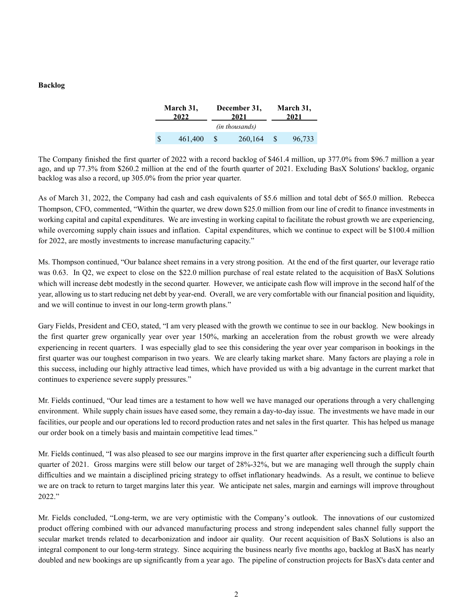#### **Backlog**

|                | March 31,<br>December 31,<br>2022<br>2021 |   |         | March 31,<br>2021 |        |  |
|----------------|-------------------------------------------|---|---------|-------------------|--------|--|
| (in thousands) |                                           |   |         |                   |        |  |
| S              | 461,400                                   | S | 260,164 |                   | 96,733 |  |

The Company finished the first quarter of 2022 with a record backlog of \$461.4 million, up 377.0% from \$96.7 million a year ago, and up 77.3% from \$260.2 million at the end of the fourth quarter of 2021. Excluding BasX Solutions' backlog, organic backlog was also a record, up 305.0% from the prior year quarter.

As of March 31, 2022, the Company had cash and cash equivalents of \$5.6 million and total debt of \$65.0 million. Rebecca Thompson, CFO, commented, "Within the quarter, we drew down \$25.0 million from our line of credit to finance investments in working capital and capital expenditures. We are investing in working capital to facilitate the robust growth we are experiencing, while overcoming supply chain issues and inflation. Capital expenditures, which we continue to expect will be \$100.4 million for 2022, are mostly investments to increase manufacturing capacity."

Ms. Thompson continued, "Our balance sheet remains in a very strong position. At the end of the first quarter, our leverage ratio was 0.63. In Q2, we expect to close on the \$22.0 million purchase of real estate related to the acquisition of BasX Solutions which will increase debt modestly in the second quarter. However, we anticipate cash flow will improve in the second half of the year, allowing us to start reducing net debt by year-end. Overall, we are very comfortable with our financial position and liquidity, and we will continue to invest in our long-term growth plans."

Gary Fields, President and CEO, stated, "I am very pleased with the growth we continue to see in our backlog. New bookings in the first quarter grew organically year over year 150%, marking an acceleration from the robust growth we were already experiencing in recent quarters. I was especially glad to see this considering the year over year comparison in bookings in the first quarter was our toughest comparison in two years. We are clearly taking market share. Many factors are playing a role in this success, including our highly attractive lead times, which have provided us with a big advantage in the current market that continues to experience severe supply pressures."

Mr. Fields continued, "Our lead times are a testament to how well we have managed our operations through a very challenging environment. While supply chain issues have eased some, they remain a day-to-day issue. The investments we have made in our facilities, our people and our operations led to record production rates and net sales in the first quarter. This has helped us manage our order book on a timely basis and maintain competitive lead times."

Mr. Fields continued, "I was also pleased to see our margins improve in the first quarter after experiencing such a difficult fourth quarter of 2021. Gross margins were still below our target of 28%-32%, but we are managing well through the supply chain difficulties and we maintain a disciplined pricing strategy to offset inflationary headwinds. As a result, we continue to believe we are on track to return to target margins later this year. We anticipate net sales, margin and earnings will improve throughout 2022."

Mr. Fields concluded, "Long-term, we are very optimistic with the Company's outlook. The innovations of our customized product offering combined with our advanced manufacturing process and strong independent sales channel fully support the secular market trends related to decarbonization and indoor air quality. Our recent acquisition of BasX Solutions is also an integral component to our long-term strategy. Since acquiring the business nearly five months ago, backlog at BasX has nearly doubled and new bookings are up significantly from a year ago. The pipeline of construction projects for BasX's data center and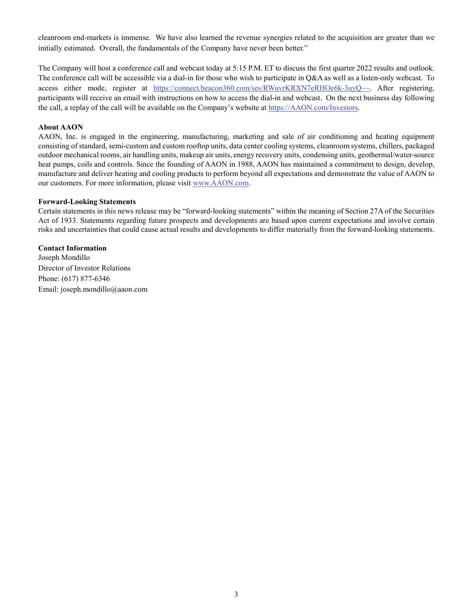cleanroom end-markets is immense. We have also learned the revenue synergies related to the acquisition are greater than we initially estimated. Overall, the fundamentals of the Company have never been better."

The Company will host a conference call and webcast today at 5:15 P.M. ET to discuss the first quarter 2022 results and outlook. The conference call will be accessible via a dial-in for those who wish to participate in Q&A as well as a listen-only webcast. To access either mode, register at https://connect.beacon360.com/ses/RWuvrKRXN7eRHOe6k-3uyQ~~. After registering, participants will receive an email with instructions on how to access the dial-in and webcast. On the next business day following the call, a replay of the call will be available on the Company's website at https://AAON.com/Investors.

### **About AAON**

AAON, Inc. is engaged in the engineering, manufacturing, marketing and sale of air conditioning and heating equipment consisting of standard, semi-custom and custom rooftop units, data center cooling systems, cleanroom systems, chillers, packaged outdoor mechanical rooms, air handling units, makeup air units, energy recovery units, condensing units, geothermal/water-source heat pumps, coils and controls. Since the founding of AAON in 1988, AAON has maintained a commitment to design, develop, manufacture and deliver heating and cooling products to perform beyond all expectations and demonstrate the value of AAON to our customers. For more information, please visit www.AAON.com.

### **Forward-Looking Statements**

Certain statements in this news release may be "forward-looking statements" within the meaning of Section 27A of the Securities Act of 1933. Statements regarding future prospects and developments are based upon current expectations and involve certain risks and uncertainties that could cause actual results and developments to differ materially from the forward-looking statements.

**Contact Information** Joseph Mondillo Director of Investor Relations Phone: (617) 877-6346 Email: joseph.mondillo@aaon.com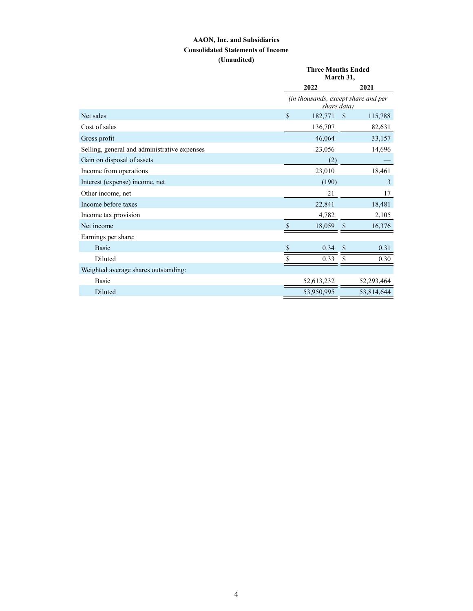### **AAON, Inc. and Subsidiaries Consolidated Statements of Income (Unaudited)**

|                                              |                                     | <b>Three Months Ended</b><br>March 31,             |            |  |  |
|----------------------------------------------|-------------------------------------|----------------------------------------------------|------------|--|--|
|                                              | 2022                                |                                                    | 2021       |  |  |
|                                              |                                     | (in thousands, except share and per<br>share data) |            |  |  |
| Net sales                                    | \$<br>182,771                       | $\mathbf S$                                        | 115,788    |  |  |
| Cost of sales                                | 136,707                             |                                                    | 82,631     |  |  |
| Gross profit                                 | 46,064                              |                                                    | 33,157     |  |  |
| Selling, general and administrative expenses | 23,056                              |                                                    | 14,696     |  |  |
| Gain on disposal of assets                   | (2)                                 |                                                    |            |  |  |
| Income from operations                       | 23,010                              |                                                    | 18,461     |  |  |
| Interest (expense) income, net               | (190)                               |                                                    | 3          |  |  |
| Other income, net                            | 21                                  |                                                    | 17         |  |  |
| Income before taxes                          | 22,841                              |                                                    | 18,481     |  |  |
| Income tax provision                         | 4,782                               |                                                    | 2,105      |  |  |
| Net income                                   | $\boldsymbol{\mathsf{S}}$<br>18,059 | <sup>S</sup>                                       | 16,376     |  |  |
| Earnings per share:                          |                                     |                                                    |            |  |  |
| <b>Basic</b>                                 | \$<br>0.34                          |                                                    | 0.31       |  |  |
| Diluted                                      | \$<br>0.33                          |                                                    | 0.30       |  |  |
| Weighted average shares outstanding:         |                                     |                                                    |            |  |  |
| Basic                                        | 52,613,232                          |                                                    | 52,293,464 |  |  |
| Diluted                                      | 53,950,995                          |                                                    | 53,814,644 |  |  |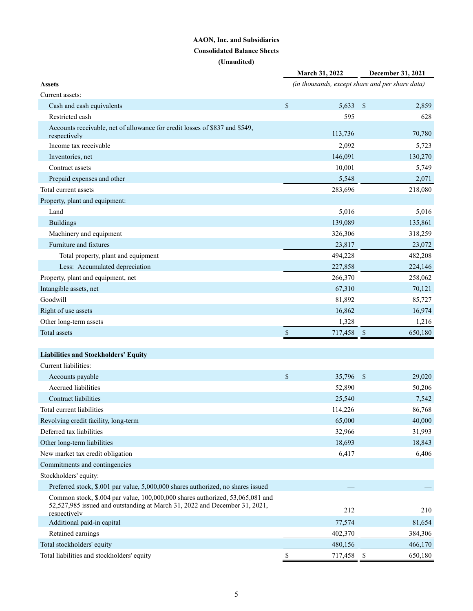## **AAON, Inc. and Subsidiaries Consolidated Balance Sheets**

**(Unaudited)**

|                                                                                                                                                             | March 31, 2022            |         | December 31, 2021<br>(in thousands, except share and per share data) |  |
|-------------------------------------------------------------------------------------------------------------------------------------------------------------|---------------------------|---------|----------------------------------------------------------------------|--|
| <b>Assets</b>                                                                                                                                               |                           |         |                                                                      |  |
| Current assets:                                                                                                                                             |                           |         |                                                                      |  |
| Cash and cash equivalents                                                                                                                                   | $\boldsymbol{\mathsf{S}}$ | 5,633   | \$<br>2,859                                                          |  |
| Restricted cash                                                                                                                                             |                           | 595     | 628                                                                  |  |
| Accounts receivable, net of allowance for credit losses of \$837 and \$549,<br>respectively                                                                 |                           | 113,736 | 70,780                                                               |  |
| Income tax receivable                                                                                                                                       |                           | 2,092   | 5,723                                                                |  |
| Inventories, net                                                                                                                                            |                           | 146.091 | 130,270                                                              |  |
| Contract assets                                                                                                                                             |                           | 10,001  | 5,749                                                                |  |
| Prepaid expenses and other                                                                                                                                  |                           | 5,548   | 2,071                                                                |  |
| Total current assets                                                                                                                                        |                           | 283,696 | 218,080                                                              |  |
| Property, plant and equipment:                                                                                                                              |                           |         |                                                                      |  |
| Land                                                                                                                                                        |                           | 5,016   | 5,016                                                                |  |
| <b>Buildings</b>                                                                                                                                            |                           | 139,089 | 135,861                                                              |  |
| Machinery and equipment                                                                                                                                     |                           | 326,306 | 318,259                                                              |  |
| Furniture and fixtures                                                                                                                                      |                           | 23,817  | 23,072                                                               |  |
| Total property, plant and equipment                                                                                                                         |                           | 494,228 | 482,208                                                              |  |
| Less: Accumulated depreciation                                                                                                                              |                           | 227,858 | 224,146                                                              |  |
| Property, plant and equipment, net                                                                                                                          |                           | 266,370 | 258,062                                                              |  |
| Intangible assets, net                                                                                                                                      |                           | 67,310  | 70,121                                                               |  |
| Goodwill                                                                                                                                                    |                           | 81,892  | 85,727                                                               |  |
| Right of use assets                                                                                                                                         |                           | 16,862  | 16,974                                                               |  |
| Other long-term assets                                                                                                                                      |                           | 1,328   | 1,216                                                                |  |
| Total assets                                                                                                                                                | \$                        | 717,458 | 650,180<br>$\mathbb{S}$                                              |  |
|                                                                                                                                                             |                           |         |                                                                      |  |
| <b>Liabilities and Stockholders' Equity</b>                                                                                                                 |                           |         |                                                                      |  |
| Current liabilities:                                                                                                                                        |                           |         |                                                                      |  |
| Accounts payable                                                                                                                                            | $\mathbb{S}$              | 35,796  | $\mathcal{S}$<br>29,020                                              |  |
| <b>Accrued</b> liabilities                                                                                                                                  |                           | 52,890  | 50,206                                                               |  |
| Contract liabilities                                                                                                                                        |                           | 25,540  | 7,542                                                                |  |
| Total current liabilities                                                                                                                                   |                           | 114,226 | 86,768                                                               |  |
| Revolving credit facility, long-term                                                                                                                        |                           | 65,000  | 40,000                                                               |  |
| Deferred tax liabilities                                                                                                                                    |                           | 32,966  | 31,993                                                               |  |
| Other long-term liabilities                                                                                                                                 |                           | 18,693  | 18,843                                                               |  |
| New market tax credit obligation                                                                                                                            |                           | 6,417   | 6,406                                                                |  |
| Commitments and contingencies                                                                                                                               |                           |         |                                                                      |  |
| Stockholders' equity:                                                                                                                                       |                           |         |                                                                      |  |
| Preferred stock, \$.001 par value, 5,000,000 shares authorized, no shares issued                                                                            |                           |         |                                                                      |  |
| Common stock, \$.004 par value, 100,000,000 shares authorized, 53,065,081 and<br>52,527,985 issued and outstanding at March 31, 2022 and December 31, 2021, |                           | 212     | 210                                                                  |  |
| respectively<br>Additional paid-in capital                                                                                                                  |                           | 77,574  | 81,654                                                               |  |
| Retained earnings                                                                                                                                           |                           | 402,370 | 384,306                                                              |  |
| Total stockholders' equity                                                                                                                                  |                           | 480,156 | 466,170                                                              |  |
|                                                                                                                                                             |                           |         |                                                                      |  |
| Total liabilities and stockholders' equity                                                                                                                  |                           | 717,458 | \$<br>650,180                                                        |  |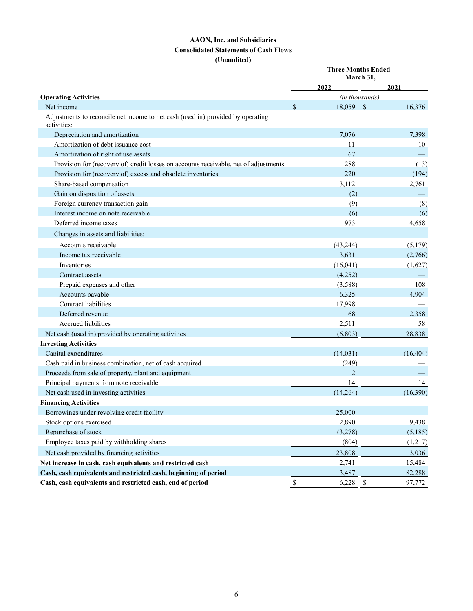### **AAON, Inc. and Subsidiaries Consolidated Statements of Cash Flows (Unaudited)**

|                                                                                                |                    | <b>Three Months Ended</b><br>March 31, |           |  |  |
|------------------------------------------------------------------------------------------------|--------------------|----------------------------------------|-----------|--|--|
|                                                                                                | 2022               |                                        | 2021      |  |  |
| <b>Operating Activities</b>                                                                    |                    | (in thousands)                         |           |  |  |
| Net income                                                                                     | \$                 | 18,059 \$                              | 16,376    |  |  |
| Adjustments to reconcile net income to net cash (used in) provided by operating<br>activities: |                    |                                        |           |  |  |
| Depreciation and amortization                                                                  |                    | 7.076                                  | 7.398     |  |  |
| Amortization of debt issuance cost                                                             |                    | 11                                     | 10        |  |  |
| Amortization of right of use assets                                                            |                    | 67                                     |           |  |  |
| Provision for (recovery of) credit losses on accounts receivable, net of adjustments           |                    | 288                                    | (13)      |  |  |
| Provision for (recovery of) excess and obsolete inventories                                    |                    | 220                                    | (194)     |  |  |
| Share-based compensation                                                                       |                    | 3.112                                  | 2,761     |  |  |
| Gain on disposition of assets                                                                  |                    | (2)                                    |           |  |  |
| Foreign currency transaction gain                                                              |                    | (9)                                    | (8)       |  |  |
| Interest income on note receivable                                                             |                    | (6)                                    | (6)       |  |  |
| Deferred income taxes                                                                          |                    | 973                                    | 4,658     |  |  |
| Changes in assets and liabilities:                                                             |                    |                                        |           |  |  |
| Accounts receivable                                                                            |                    | (43,244)                               | (5,179)   |  |  |
| Income tax receivable                                                                          |                    | 3,631                                  | (2,766)   |  |  |
| Inventories                                                                                    |                    | (16,041)                               | (1,627)   |  |  |
| Contract assets                                                                                |                    | (4,252)                                |           |  |  |
| Prepaid expenses and other                                                                     |                    | (3,588)                                | 108       |  |  |
| Accounts payable                                                                               |                    | 6,325                                  | 4,904     |  |  |
| Contract liabilities                                                                           |                    | 17,998                                 |           |  |  |
| Deferred revenue                                                                               |                    | 68                                     | 2.358     |  |  |
| Accrued liabilities                                                                            |                    | 2,511                                  | 58        |  |  |
| Net cash (used in) provided by operating activities                                            |                    | (6, 803)                               | 28,838    |  |  |
| <b>Investing Activities</b>                                                                    |                    |                                        |           |  |  |
| Capital expenditures                                                                           |                    | (14,031)                               | (16, 404) |  |  |
| Cash paid in business combination, net of cash acquired                                        |                    | (249)                                  |           |  |  |
| Proceeds from sale of property, plant and equipment                                            |                    | $\overline{2}$                         |           |  |  |
| Principal payments from note receivable                                                        |                    | 14                                     | 14        |  |  |
| Net cash used in investing activities                                                          |                    | (14,264)                               | (16,390)  |  |  |
| <b>Financing Activities</b>                                                                    |                    |                                        |           |  |  |
| Borrowings under revolving credit facility                                                     |                    | 25,000                                 |           |  |  |
| Stock options exercised                                                                        |                    | 2,890                                  | 9,438     |  |  |
| Repurchase of stock                                                                            |                    | (3,278)                                | (5,185)   |  |  |
| Employee taxes paid by withholding shares                                                      |                    | (804)                                  | (1,217)   |  |  |
| Net cash provided by financing activities                                                      |                    | 23,808                                 | 3,036     |  |  |
| Net increase in cash, cash equivalents and restricted cash                                     |                    | 2,741                                  | 15,484    |  |  |
| Cash, cash equivalents and restricted cash, beginning of period                                |                    | 3,487                                  | 82,288    |  |  |
| Cash, cash equivalents and restricted cash, end of period                                      | $\mathbf{\hat{S}}$ | $6,228$ \$                             | 97,772    |  |  |